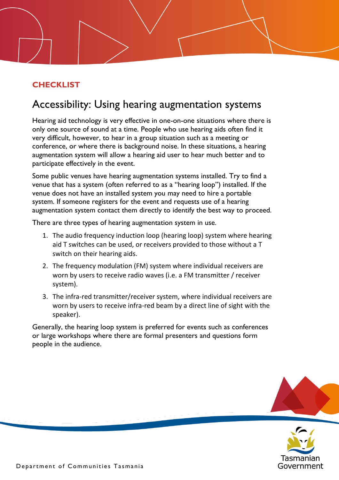## **CHECKLIST**

## Accessibility: Using hearing augmentation systems

Hearing aid technology is very effective in one-on-one situations where there is only one source of sound at a time. People who use hearing aids often find it very difficult, however, to hear in a group situation such as a meeting or conference, or where there is background noise. In these situations, a hearing augmentation system will allow a hearing aid user to hear much better and to participate effectively in the event.

Some public venues have hearing augmentation systems installed. Try to find a venue that has a system (often referred to as a "hearing loop") installed. If the venue does not have an installed system you may need to hire a portable system. If someone registers for the event and requests use of a hearing augmentation system contact them directly to identify the best way to proceed.

There are three types of hearing augmentation system in use.

- 1. The audio frequency induction loop (hearing loop) system where hearing aid T switches can be used, or receivers provided to those without a T switch on their hearing aids.
- 2. The frequency modulation (FM) system where individual receivers are worn by users to receive radio waves (i.e. a FM transmitter / receiver system).
- 3. The infra-red transmitter/receiver system, where individual receivers are worn by users to receive infra-red beam by a direct line of sight with the speaker).

Generally, the hearing loop system is preferred for events such as conferences or large workshops where there are formal presenters and questions form people in the audience.